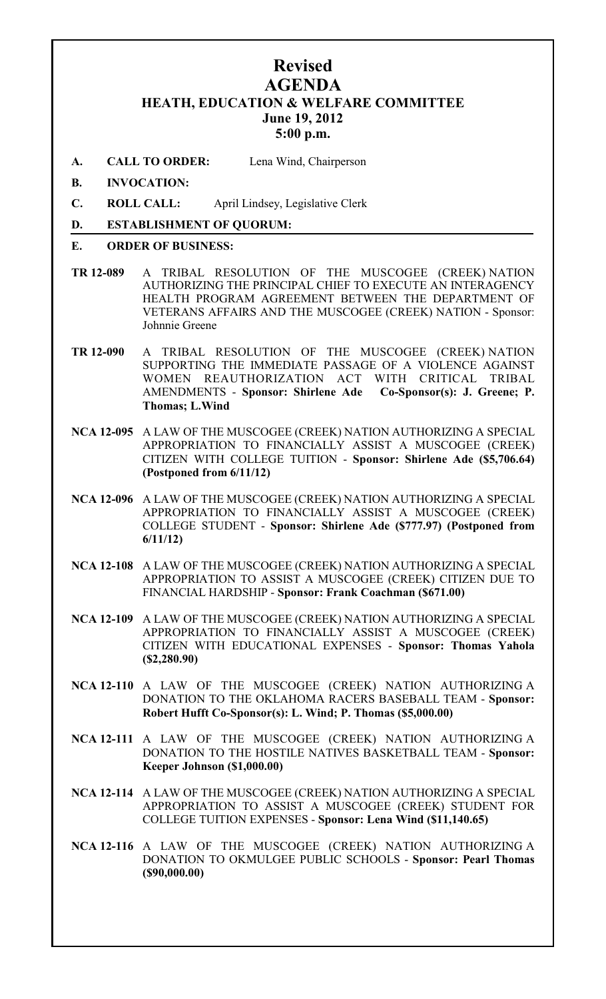# **Revised AGENDA HEATH, EDUCATION & WELFARE COMMITTEE June 19, 2012 5:00 p.m.**

**A. CALL TO ORDER:** Lena Wind, Chairperson

### **B. INVOCATION:**

**C. ROLL CALL:** April Lindsey, Legislative Clerk

### **D. ESTABLISHMENT OF QUORUM:**

#### **E. ORDER OF BUSINESS:**

- **TR 12-089** A TRIBAL RESOLUTION OF THE MUSCOGEE (CREEK) NATION AUTHORIZING THE PRINCIPAL CHIEF TO EXECUTE AN INTERAGENCY HEALTH PROGRAM AGREEMENT BETWEEN THE DEPARTMENT OF VETERANS AFFAIRS AND THE MUSCOGEE (CREEK) NATION - Sponsor: Johnnie Greene
- **TR 12-090** A TRIBAL RESOLUTION OF THE MUSCOGEE (CREEK) NATION SUPPORTING THE IMMEDIATE PASSAGE OF A VIOLENCE AGAINST WOMEN REAUTHORIZATION ACT WITH CRITICAL TRIBAL AMENDMENTS - **Sponsor: Shirlene Ade Co-Sponsor(s): J. Greene; P. Thomas; L.Wind**
- **NCA 12-095** A LAW OF THE MUSCOGEE (CREEK) NATION AUTHORIZING A SPECIAL APPROPRIATION TO FINANCIALLY ASSIST A MUSCOGEE (CREEK) CITIZEN WITH COLLEGE TUITION - **Sponsor: Shirlene Ade (\$5,706.64) (Postponed from 6/11/12)**
- **NCA 12-096** A LAW OF THE MUSCOGEE (CREEK) NATION AUTHORIZING A SPECIAL APPROPRIATION TO FINANCIALLY ASSIST A MUSCOGEE (CREEK) COLLEGE STUDENT - **Sponsor: Shirlene Ade (\$777.97) (Postponed from 6/11/12)**
- **NCA 12-108** A LAW OF THE MUSCOGEE (CREEK) NATION AUTHORIZING A SPECIAL APPROPRIATION TO ASSIST A MUSCOGEE (CREEK) CITIZEN DUE TO FINANCIAL HARDSHIP - **Sponsor: Frank Coachman (\$671.00)**
- **NCA 12-109** A LAW OF THE MUSCOGEE (CREEK) NATION AUTHORIZING A SPECIAL APPROPRIATION TO FINANCIALLY ASSIST A MUSCOGEE (CREEK) CITIZEN WITH EDUCATIONAL EXPENSES - **Sponsor: Thomas Yahola (\$2,280.90)**
- **NCA 12-110** A LAW OF THE MUSCOGEE (CREEK) NATION AUTHORIZING A DONATION TO THE OKLAHOMA RACERS BASEBALL TEAM - **Sponsor: Robert Hufft Co-Sponsor(s): L. Wind; P. Thomas (\$5,000.00)**
- **NCA 12-111** A LAW OF THE MUSCOGEE (CREEK) NATION AUTHORIZING A DONATION TO THE HOSTILE NATIVES BASKETBALL TEAM - **Sponsor: Keeper Johnson (\$1,000.00)**
- **NCA 12-114** A LAW OF THE MUSCOGEE (CREEK) NATION AUTHORIZING A SPECIAL APPROPRIATION TO ASSIST A MUSCOGEE (CREEK) STUDENT FOR COLLEGE TUITION EXPENSES - **Sponsor: Lena Wind (\$11,140.65)**
- **NCA 12-116** A LAW OF THE MUSCOGEE (CREEK) NATION AUTHORIZING A DONATION TO OKMULGEE PUBLIC SCHOOLS - **Sponsor: Pearl Thomas (\$90,000.00)**